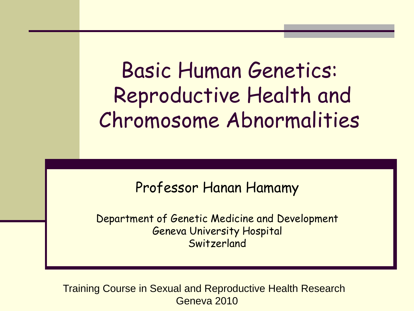Basic Human Genetics: Reproductive Health and Chromosome Abnormalities

Professor Hanan Hamamy

Department of Genetic Medicine and Development Geneva University Hospital Switzerland

Training Course in Sexual and Reproductive Health Research Geneva 2010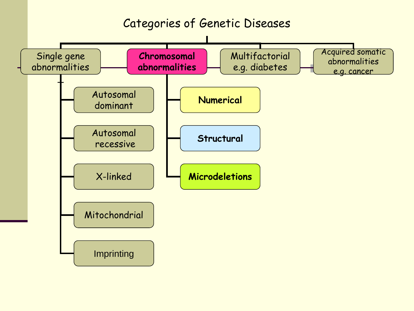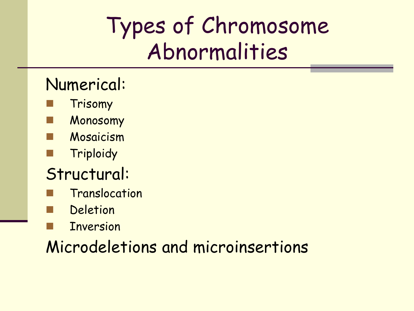## Types of Chromosome Abnormalities

#### Numerical:

- Trisomy
- **Monosomy**
- Mosaicism
- Triploidy
- Structural:
- Translocation
- Deletion
- Inversion

Microdeletions and microinsertions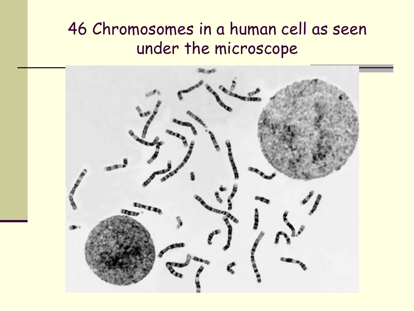#### 46 Chromosomes in a human cell as seen under the microscope

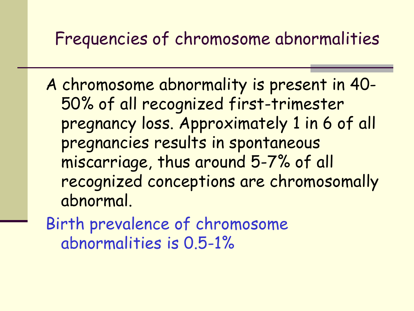### Frequencies of chromosome abnormalities

A chromosome abnormality is present in 40- 50% of all recognized first-trimester pregnancy loss. Approximately 1 in 6 of all pregnancies results in spontaneous miscarriage, thus around 5-7% of all recognized conceptions are chromosomally abnormal.

Birth prevalence of chromosome abnormalities is 0.5-1%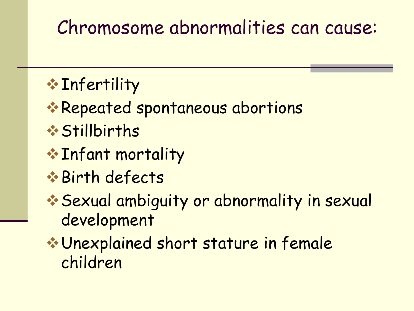### Chromosome abnormalities can cause:

### \* Infertility

- \* Repeated spontaneous abortions
- Stillbirths
- Infant mortality
- Birth defects
- Sexual ambiguity or abnormality in sexual development
- Unexplained short stature in female children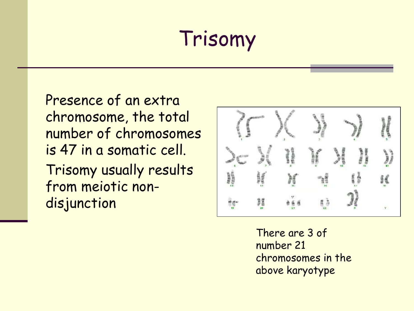### Trisomy

Presence of an extra chromosome, the total number of chromosomes is 47 in a somatic cell. Trisomy usually results from meiotic nondisjunction



There are 3 of number 21 chromosomes in the above karyotype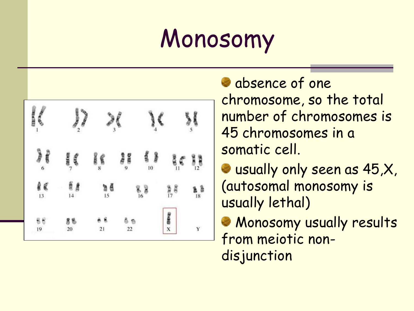## **Monosomy**



absence of one chromosome, so the total number of chromosomes is 45 chromosomes in a somatic cell.

usually only seen as 45,X, (autosomal monosomy is usually lethal)

**Monosomy usually results** from meiotic nondisjunction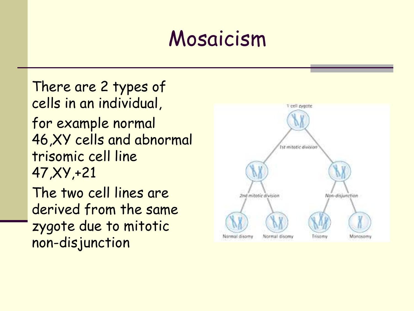### Mosaicism

There are 2 types of cells in an individual, for example normal 46,XY cells and abnormal trisomic cell line 47,XY,+21 The two cell lines are derived from the same zygote due to mitotic non-disjunction

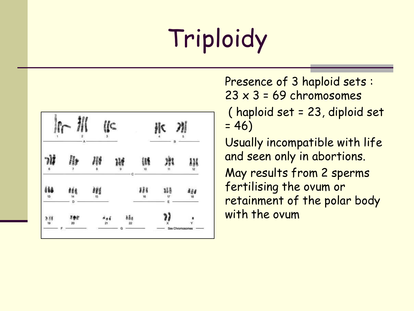# Triploidy

| 冲<br>5<br>B                              | Ħ<br>Б<br>12      | 466<br>18                          | ٧<br>Sex Chromosomes |
|------------------------------------------|-------------------|------------------------------------|----------------------|
| 3lš                                      | 11                | 龌<br>$\overline{\mathcal{U}}$<br>Ę | $\mathbf x$          |
|                                          | æ<br>10           | 888<br>16                          |                      |
|                                          | $\mathbf{Q}$<br>с |                                    | ðâa<br>22            |
| $\mathcal{C}$<br>$\overline{\mathbf{3}}$ | 8                 | 98<br>15                           | 21                   |
| A                                        |                   |                                    |                      |
| $\dot{2}$                                | 7                 | ese<br>14<br>D<br>639.             | 百合症<br>20            |
|                                          | 6                 | áš8<br>13                          | 388<br>19            |

Presence of 3 haploid sets :  $23 \times 3 = 69$  chromosomes

( haploid set = 23, diploid set  $= 46$ 

Usually incompatible with life and seen only in abortions.

May results from 2 sperms fertilising the ovum or retainment of the polar body with the ovum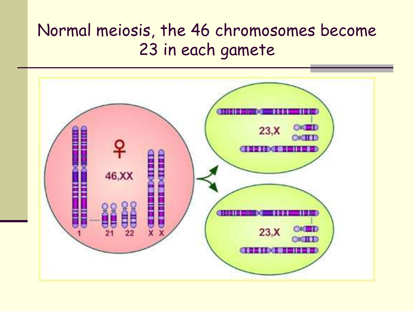#### Normal meiosis, the 46 chromosomes become 23 in each gamete

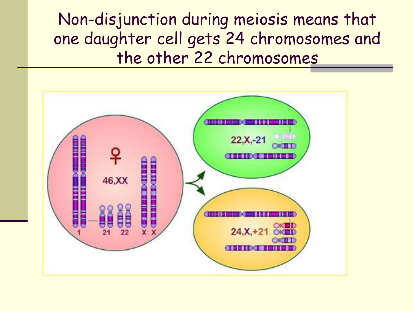Non-disjunction during meiosis means that one daughter cell gets 24 chromosomes and the other 22 chromosomes

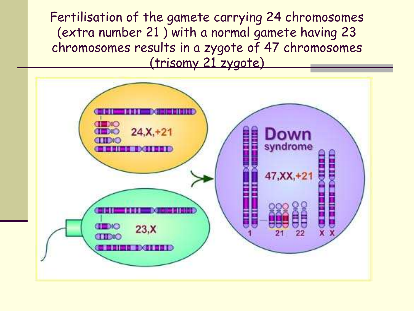Fertilisation of the gamete carrying 24 chromosomes (extra number 21 ) with a normal gamete having 23 chromosomes results in a zygote of 47 chromosomes (trisomy 21 zygote)

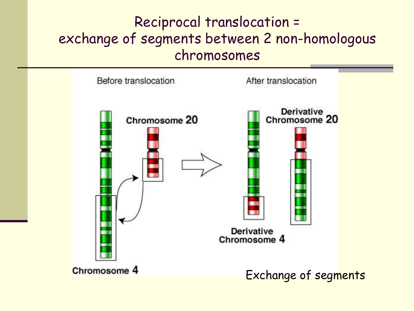#### Reciprocal translocation = exchange of segments between 2 non-homologous chromosomes

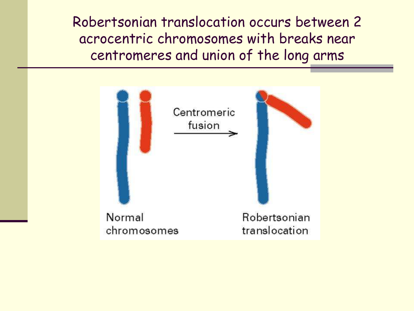Robertsonian translocation occurs between 2 acrocentric chromosomes with breaks near centromeres and union of the long arms

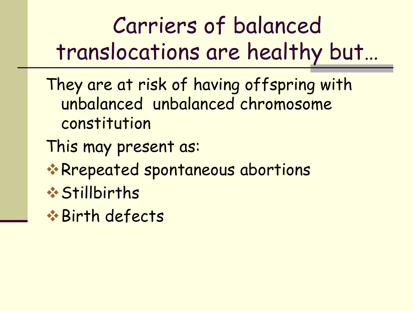Carriers of balanced translocations are healthy but…

They are at risk of having offspring with unbalanced unbalanced chromosome constitution

This may present as:

- \*Rrepeated spontaneous abortions
- Stillbirths
- Birth defects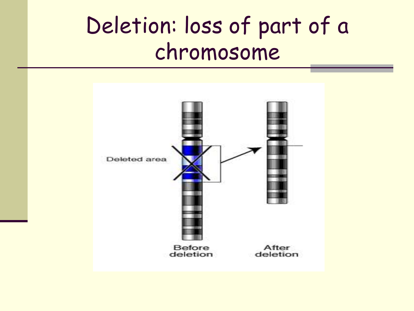### Deletion: loss of part of a chromosome

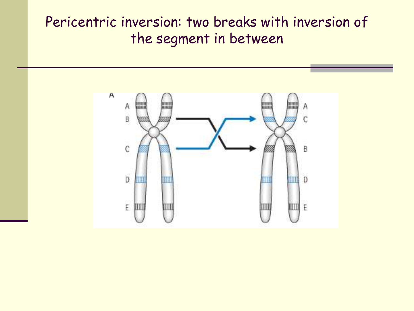#### Pericentric inversion: two breaks with inversion of the segment in between

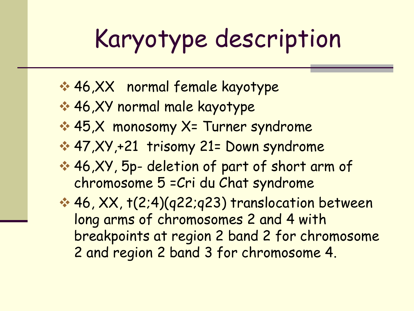# Karyotype description

- 46,XX normal female kayotype
- **→ 46,XY normal male kayotype**
- **→ 45,X monosomy X= Turner syndrome**
- 47,XY,+21 trisomy 21= Down syndrome
- **→ 46,XY, 5p- deletion of part of short arm of** chromosome 5 =Cri du Chat syndrome
- 46, XX, t(2;4)(q22;q23) translocation between long arms of chromosomes 2 and 4 with breakpoints at region 2 band 2 for chromosome 2 and region 2 band 3 for chromosome 4.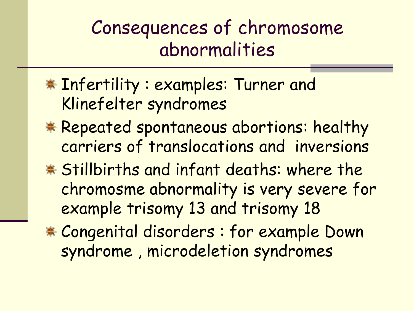### Consequences of chromosome abnormalities

- \* Infertility : examples: Turner and Klinefelter syndromes
- \* Repeated spontaneous abortions: healthy carriers of translocations and inversions
- \* Stillbirths and infant deaths: where the chromosme abnormality is very severe for example trisomy 13 and trisomy 18
- Congenital disorders : for example Down syndrome , microdeletion syndromes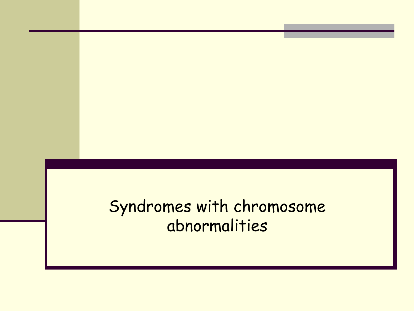Syndromes with chromosome abnormalities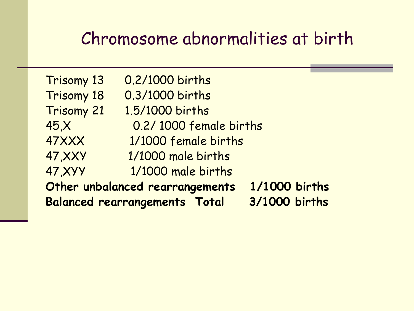### Chromosome abnormalities at birth

|                | <b>Balanced rearrangements Total</b> | 3/1000 births |
|----------------|--------------------------------------|---------------|
|                | Other unbalanced rearrangements      | 1/1000 births |
| <b>47, XYY</b> | 1/1000 male births                   |               |
| <b>47, XXY</b> | 1/1000 male births                   |               |
| 47XXX          | 1/1000 female births                 |               |
| 45, X          | 0.2/1000 female births               |               |
| Trisomy 21     | 1.5/1000 births                      |               |
| Trisomy 18     | 0.3/1000 births                      |               |
| Trisomy 13     | 0.2/1000 births                      |               |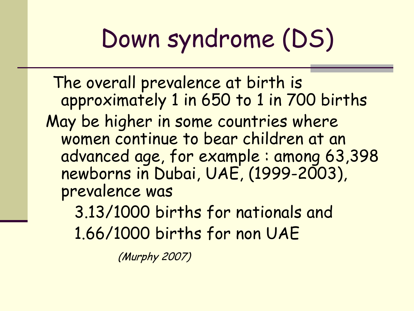# Down syndrome (DS)

The overall prevalence at birth is approximately 1 in 650 to 1 in 700 births May be higher in some countries where women continue to bear children at an advanced age, for example : among 63,398 newborns in Dubai, UAE, (1999-2003). prevalence was

3.13/1000 births for nationals and 1.66/1000 births for non UAE

(Murphy 2007)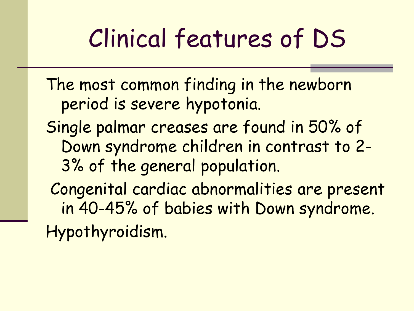## Clinical features of DS

- The most common finding in the newborn period is severe hypotonia.
- Single palmar creases are found in 50% of Down syndrome children in contrast to 2- 3% of the general population.
- Congenital cardiac abnormalities are present in 40-45% of babies with Down syndrome. Hypothyroidism.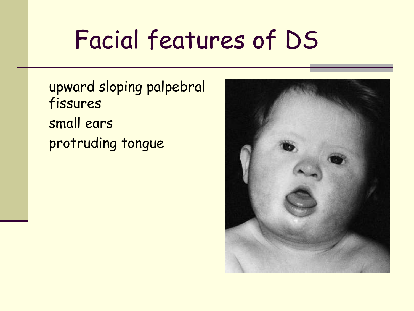## Facial features of DS

upward sloping palpebral fissures small ears protruding tongue

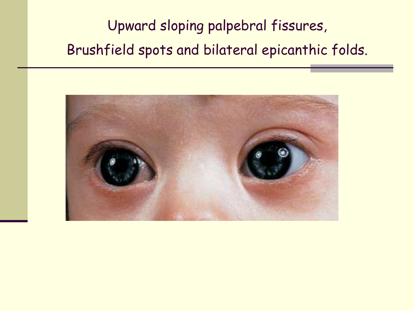Upward sloping palpebral fissures, Brushfield spots and bilateral epicanthic folds.

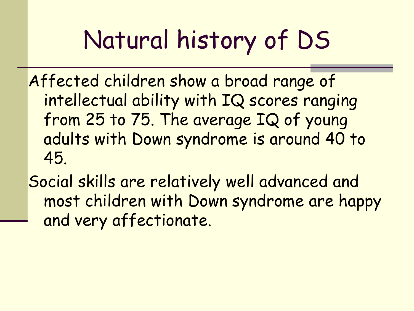# Natural history of DS

Affected children show a broad range of intellectual ability with IQ scores ranging from 25 to 75. The average IQ of young adults with Down syndrome is around 40 to 45.

Social skills are relatively well advanced and most children with Down syndrome are happy and very affectionate.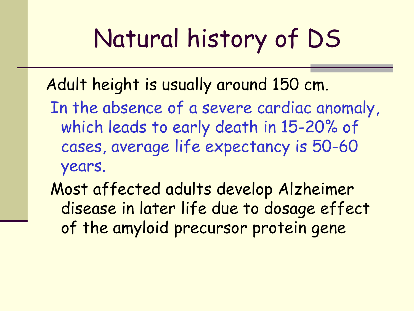# Natural history of DS

Adult height is usually around 150 cm.

- In the absence of a severe cardiac anomaly, which leads to early death in 15-20% of cases, average life expectancy is 50-60 years.
- Most affected adults develop Alzheimer disease in later life due to dosage effect of the amyloid precursor protein gene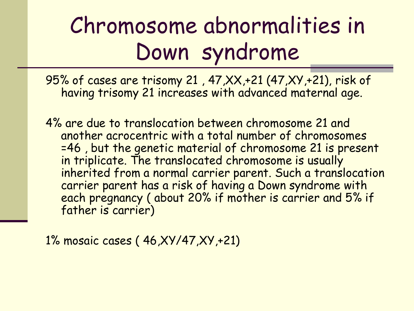## Chromosome abnormalities in Down syndrome

95% of cases are trisomy 21 , 47,XX,+21 (47,XY,+21), risk of having trisomy 21 increases with advanced maternal age.

4% are due to translocation between chromosome 21 and another acrocentric with a total number of chromosomes =46 , but the genetic material of chromosome 21 is present in triplicate. The translocated chromosome is usually inherited from a normal carrier parent. Such a translocation carrier parent has a risk of having a Down syndrome with each pregnancy (about 20% if mother is carrier and 5% if father is carrier)

1% mosaic cases ( 46,XY/47,XY,+21)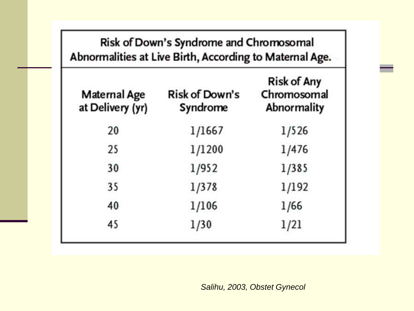| Risk of Down's Syndrome and Chromosomal<br>Abnormalities at Live Birth, According to Maternal Age. |                                   |                                                         |  |
|----------------------------------------------------------------------------------------------------|-----------------------------------|---------------------------------------------------------|--|
| Maternal Age<br>at Delivery (yr)                                                                   | <b>Risk of Down's</b><br>Syndrome | <b>Risk of Any</b><br>Chromosomal<br><b>Abnormality</b> |  |
| 20                                                                                                 | 1/1667                            | 1/526                                                   |  |
| 25                                                                                                 | 1/1200                            | 1/476                                                   |  |
| 30                                                                                                 | 1/952                             | 1/385                                                   |  |
| 35                                                                                                 | 1/378                             | 1/192                                                   |  |
| 40                                                                                                 | 1/106                             | 1/66                                                    |  |
| 45                                                                                                 | 1/30                              | 1/21                                                    |  |

*Salihu, 2003, Obstet Gynecol*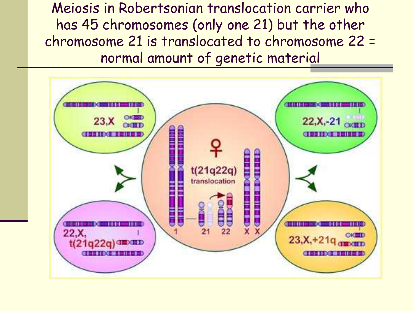Meiosis in Robertsonian translocation carrier who has 45 chromosomes (only one 21) but the other chromosome 21 is translocated to chromosome 22 = normal amount of genetic material

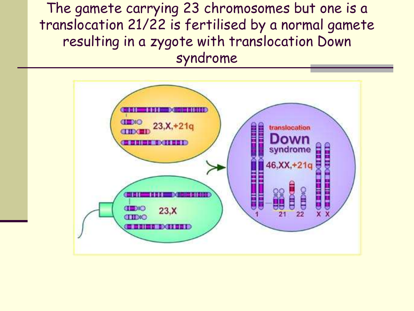The gamete carrying 23 chromosomes but one is a translocation 21/22 is fertilised by a normal gamete resulting in a zygote with translocation Down syndrome

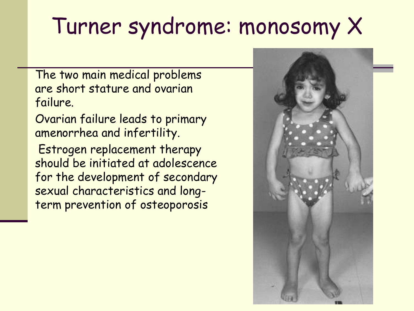## Turner syndrome: monosomy X

The two main medical problems are short stature and ovarian failure.

Ovarian failure leads to primary amenorrhea and infertility. Estrogen replacement therapy should be initiated at adolescence for the development of secondary sexual characteristics and longterm prevention of osteoporosis

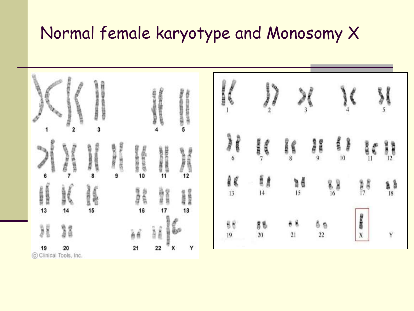#### Normal female karyotype and Monosomy X



C Clinical Tools, Inc.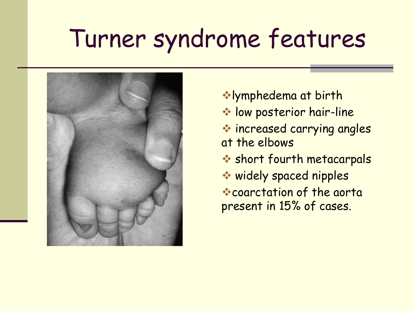## Turner syndrome features



lymphedema at birth **We low posterior hair-line**  increased carrying angles at the elbows **Short fourth metacarpals**  widely spaced nipples coarctation of the aorta present in 15% of cases.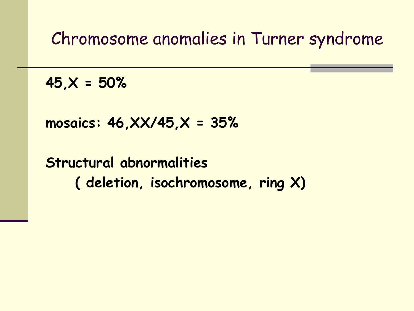Chromosome anomalies in Turner syndrome

**45,X = 50%**

**mosaics: 46,XX/45,X = 35%**

**Structural abnormalities ( deletion, isochromosome, ring X)**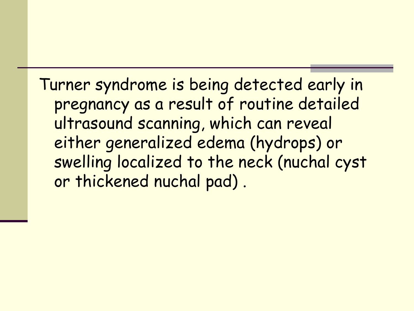Turner syndrome is being detected early in pregnancy as a result of routine detailed ultrasound scanning, which can reveal either generalized edema (hydrops) or swelling localized to the neck (nuchal cyst or thickened nuchal pad) .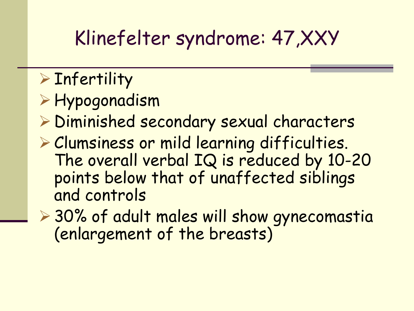### Klinefelter syndrome: 47,XXY

### $\triangleright$  Infertility

- Hypogonadism
- Diminished secondary sexual characters
- Clumsiness or mild learning difficulties. The overall verbal IQ is reduced by 10-20 points below that of unaffected siblings and controls
- ▶ 30% of adult males will show gynecomastia (enlargement of the breasts)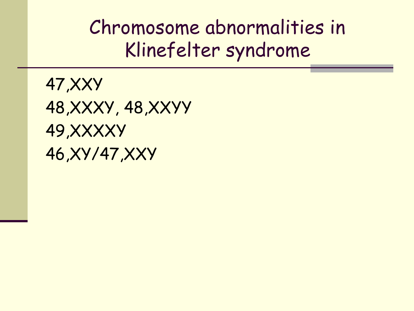Chromosome abnormalities in Klinefelter syndrome

47,XXY 48,XXXY, 48,XXYY 49,XXXXY 46,XY/47,XXY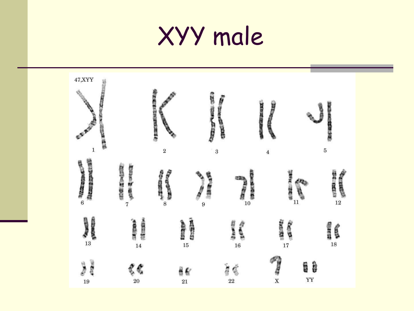## XYY male

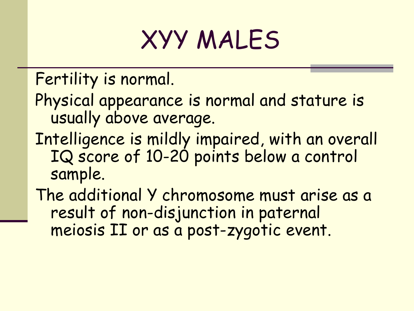## XYY MALES

Fertility is normal.

- Physical appearance is normal and stature is usually above average.
- Intelligence is mildly impaired, with an overall IQ score of 10-20 points below a control sample.
- The additional Y chromosome must arise as a result of non-disjunction in paternal meiosis II or as a post-zygotic event.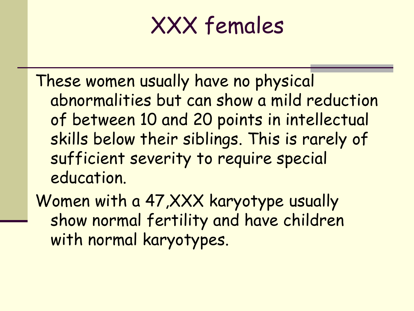### XXX females

These women usually have no physical abnormalities but can show a mild reduction of between 10 and 20 points in intellectual skills below their siblings. This is rarely of sufficient severity to require special education.

Women with a 47,XXX karyotype usually show normal fertility and have children with normal karyotypes.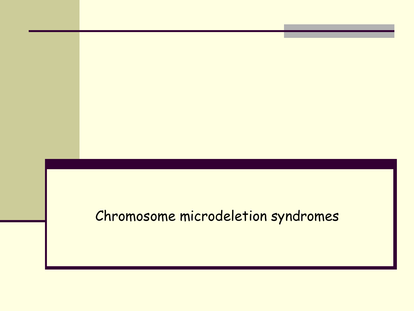#### Chromosome microdeletion syndromes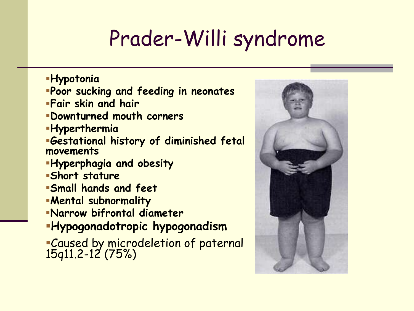### Prader-Willi syndrome

- **Hypotonia**
- **Poor sucking and feeding in neonates**
- **Fair skin and hair**
- **Downturned mouth corners**
- **Hyperthermia**
- **Gestational history of diminished fetal movements**
- **Hyperphagia and obesity**
- **Short stature**
- **Small hands and feet**
- **Mental subnormality**
- **Narrow bifrontal diameter**
- **Hypogonadotropic hypogonadism**
- Caused by microdeletion of paternal 15q11.2-12 (75%)

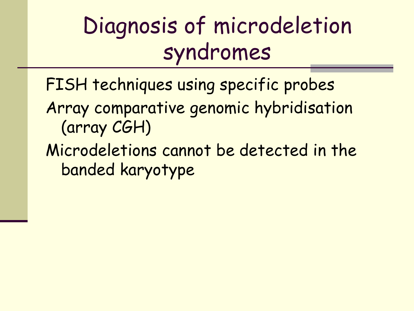## Diagnosis of microdeletion syndromes

- FISH techniques using specific probes
- Array comparative genomic hybridisation (array CGH)
- Microdeletions cannot be detected in the banded karyotype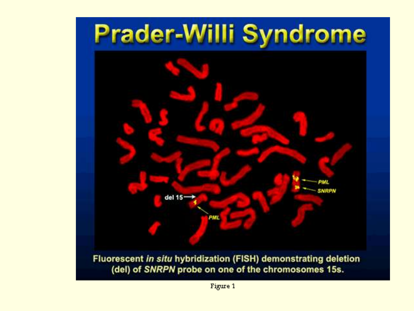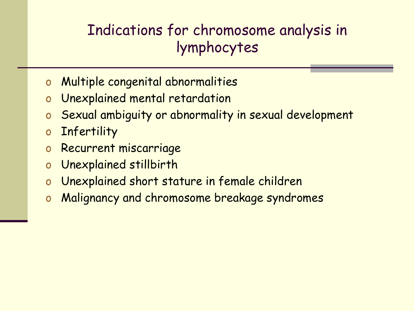#### Indications for chromosome analysis in lymphocytes

- o Multiple congenital abnormalities
- o Unexplained mental retardation
- o Sexual ambiguity or abnormality in sexual development
- o Infertility
- o Recurrent miscarriage
- o Unexplained stillbirth
- o Unexplained short stature in female children
- o Malignancy and chromosome breakage syndromes